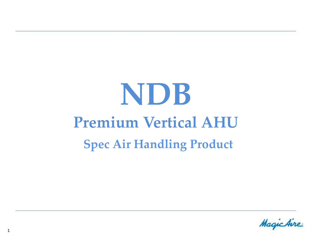# **NDB Premium Vertical AHU Spec Air Handling Product**

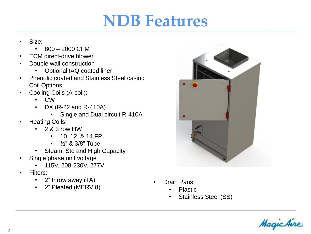### **NDB Features**

- Size:
	- $800 2000$  CFM
- ECM direct-drive blower
- Double wall construction
	- Optional IAQ coated liner
- Phenolic coated and Stainless Steel casing Coil Options
- Cooling Coils (A-coil):
	- CW
	- DX (R-22 and R-410A)
		- Single and Dual circuit R-410A
- Heating Coils:
	- $\cdot$  2 & 3 row HW
		- 10, 12, & 14 FPI
		- $\frac{1}{2}$ " & 3/8" Tube
	- Steam, Std and High Capacity
- Single phase unit voltage
	- 115V, 208-230V, 277V
- Filters:
	- 2" throw away (TA)
	- 2" Pleated (MERV 8)



- Drain Pans:
	- Plastic
	- Stainless Steel (SS)

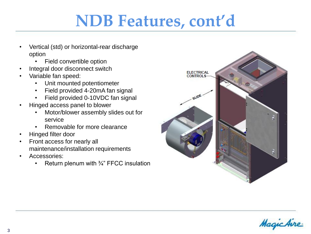# **NDB Features, cont'd**

- Vertical (std) or horizontal-rear discharge option
	- Field convertible option
- Integral door disconnect switch
- Variable fan speed:
	- Unit mounted potentiometer
	- Field provided 4-20mA fan signal
	- Field provided 0-10VDC fan signal
- Hinged access panel to blower
	- Motor/blower assembly slides out for service
	- Removable for more clearance
- Hinged filter door
- Front access for nearly all maintenance/installation requirements
- Accessories:
	- Return plenum with 3/4" FFCC insulation



Magichir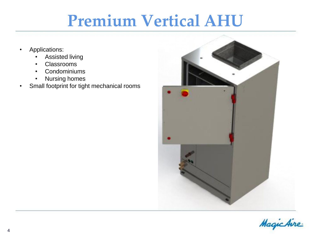# **Premium Vertical AHU**

- Applications:
	- Assisted living
	- Classrooms
	- Condominiums
	- Nursing homes
- Small footprint for tight mechanical rooms



Magic Aire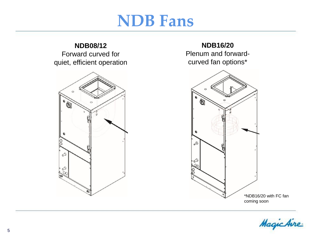### **NDB Fans**

#### **NDB08/12** Forward curved for quiet, efficient operation



#### **NDB16/20**

Plenum and forwardcurved fan options\*



Magic Aire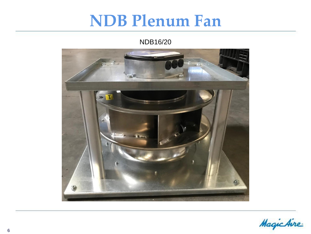### **NDB Plenum Fan**

#### NDB16/20



MagicAire